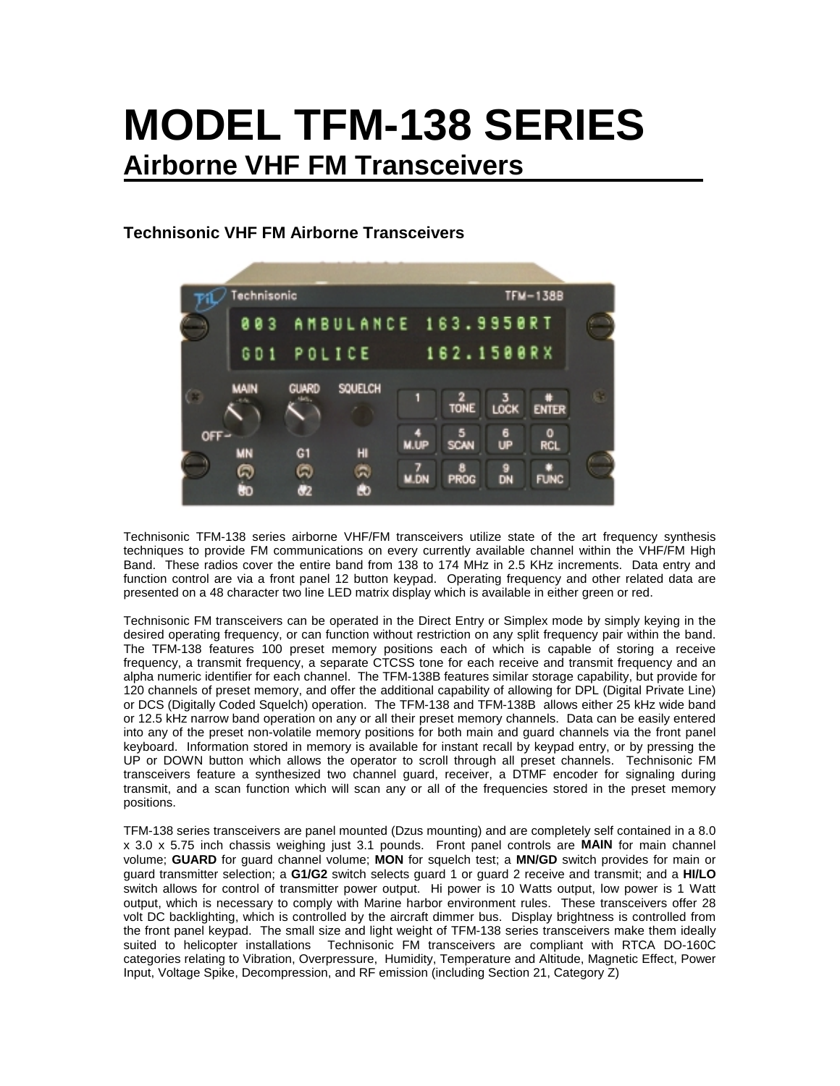# **MODEL TFM-138 SERIES Airborne VHF FM Transceivers**

# **Technisonic VHF FM Airborne Transceivers**



Technisonic TFM-138 series airborne VHF/FM transceivers utilize state of the art frequency synthesis techniques to provide FM communications on every currently available channel within the VHF/FM High Band. These radios cover the entire band from 138 to 174 MHz in 2.5 KHz increments. Data entry and function control are via a front panel 12 button keypad. Operating frequency and other related data are presented on a 48 character two line LED matrix display which is available in either green or red.

Technisonic FM transceivers can be operated in the Direct Entry or Simplex mode by simply keying in the desired operating frequency, or can function without restriction on any split frequency pair within the band. The TFM-138 features 100 preset memory positions each of which is capable of storing a receive frequency, a transmit frequency, a separate CTCSS tone for each receive and transmit frequency and an alpha numeric identifier for each channel. The TFM-138B features similar storage capability, but provide for 120 channels of preset memory, and offer the additional capability of allowing for DPL (Digital Private Line) or DCS (Digitally Coded Squelch) operation. The TFM-138 and TFM-138B allows either 25 kHz wide band or 12.5 kHz narrow band operation on any or all their preset memory channels. Data can be easily entered into any of the preset non-volatile memory positions for both main and guard channels via the front panel keyboard. Information stored in memory is available for instant recall by keypad entry, or by pressing the UP or DOWN button which allows the operator to scroll through all preset channels. Technisonic FM transceivers feature a synthesized two channel guard, receiver, a DTMF encoder for signaling during transmit, and a scan function which will scan any or all of the frequencies stored in the preset memory positions.

TFM-138 series transceivers are panel mounted (Dzus mounting) and are completely self contained in a 8.0 x 3.0 x 5.75 inch chassis weighing just 3.1 pounds. Front panel controls are **MAIN** for main channel volume; **GUARD** for guard channel volume; **MON** for squelch test; a **MN/GD** switch provides for main or guard transmitter selection; a **G1/G2** switch selects guard 1 or guard 2 receive and transmit; and a **HI/LO** switch allows for control of transmitter power output. Hi power is 10 Watts output, low power is 1 Watt output, which is necessary to comply with Marine harbor environment rules. These transceivers offer 28 volt DC backlighting, which is controlled by the aircraft dimmer bus. Display brightness is controlled from the front panel keypad. The small size and light weight of TFM-138 series transceivers make them ideally suited to helicopter installations Technisonic FM transceivers are compliant with RTCA DO-160C categories relating to Vibration, Overpressure, Humidity, Temperature and Altitude, Magnetic Effect, Power Input, Voltage Spike, Decompression, and RF emission (including Section 21, Category Z)